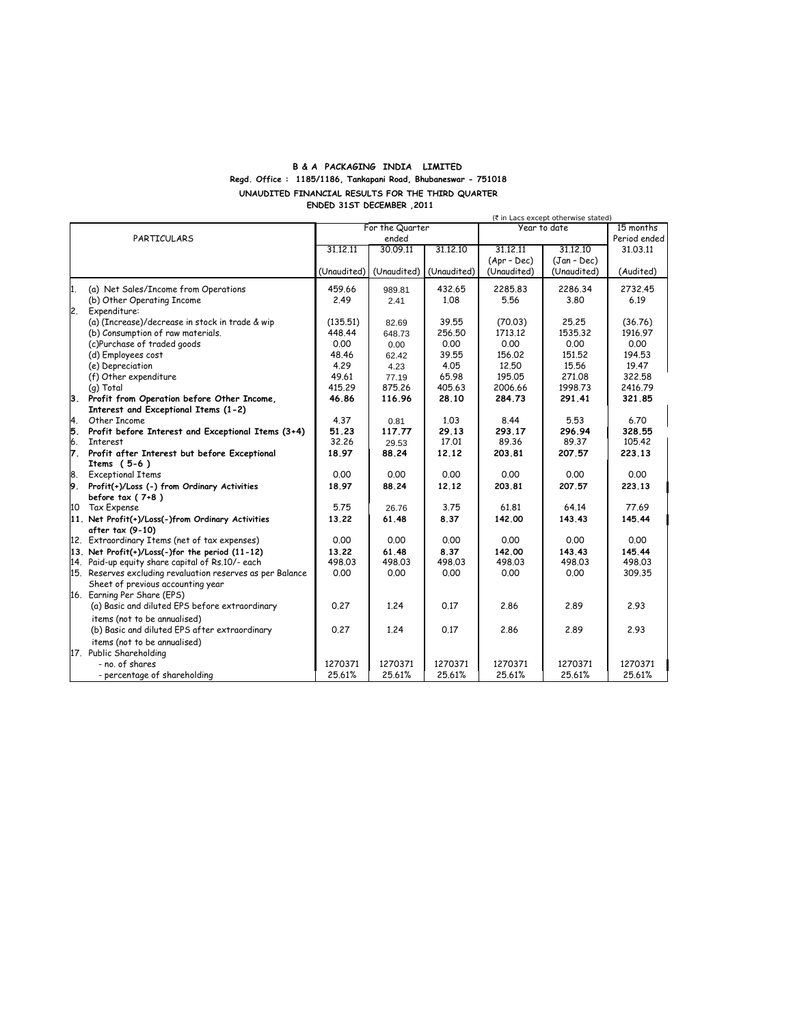## **B & A PACKAGING INDIA LIMITED Regd. Office : 1185/1186, Tankapani Road, Bhubaneswar - 751018 UNAUDITED FINANCIAL RESULTS FOR THE THIRD QUARTER ENDED 31ST DECEMBER ,2011**

| 15 months<br>Period ended<br>31.12.10<br>31.03.11 |
|---------------------------------------------------|
|                                                   |
|                                                   |
|                                                   |
| (Jan - Dec)                                       |
| (Unaudited)<br>(Audited)                          |
| 2286.34<br>2732.45                                |
| 3.80<br>6.19                                      |
|                                                   |
| 25,25<br>(36.76)                                  |
| 1535.32<br>1916.97                                |
| 0.00                                              |
| 151.52<br>194.53                                  |
| 15.56<br>19.47                                    |
| 271.08<br>322.58                                  |
| 1998.73<br>2416.79                                |
| 291.41<br>321.85                                  |
|                                                   |
| 6.70                                              |
| 296.94<br>328.55                                  |
| 89.37<br>105.42                                   |
| 223.13<br>207.57                                  |
|                                                   |
| 0.00<br>0.00                                      |
| 207.57<br>223.13                                  |
|                                                   |
| 77.69<br>64.14                                    |
| 143.43<br>145.44                                  |
|                                                   |
| 0.00<br>0.00                                      |
| 143.43<br>145.44                                  |
| 498.03<br>498.03                                  |
| 309.35                                            |
|                                                   |
|                                                   |
| 2.93                                              |
|                                                   |
| 2.93                                              |
|                                                   |
|                                                   |
| 1270371<br>1270371                                |
| 25.61%<br>25.61%                                  |
| 0.00<br>5.53<br>0.00<br>2.89<br>2.89              |